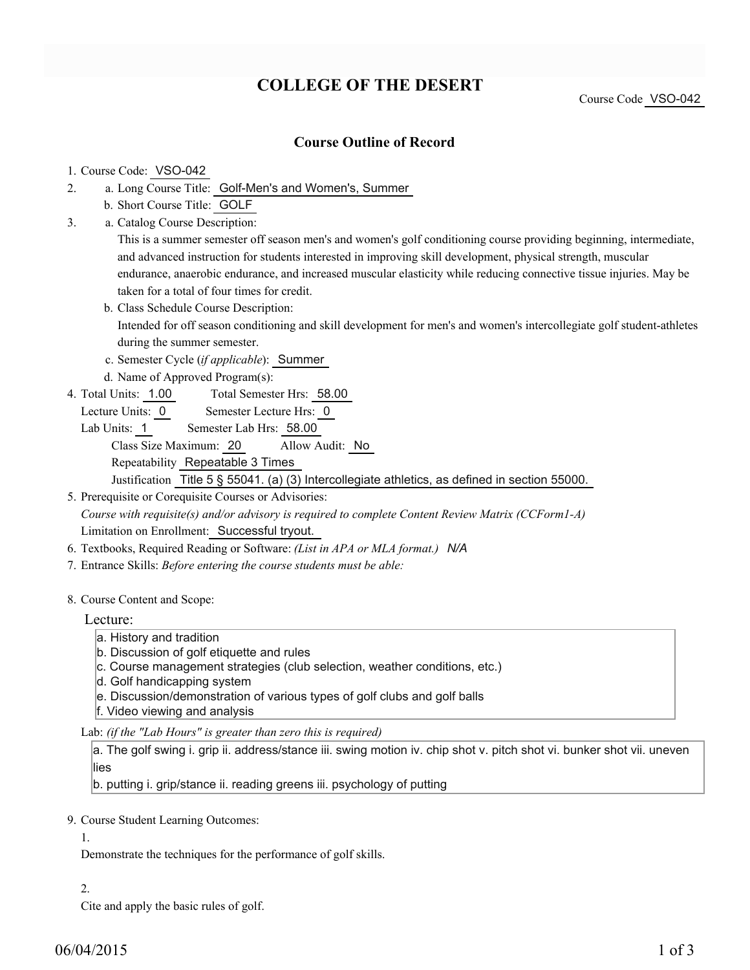# **COLLEGE OF THE DESERT**

Course Code VSO-042

## **Course Outline of Record**

### 1. Course Code: VSO-042

- a. Long Course Title: Golf-Men's and Women's, Summer 2.
	- b. Short Course Title: GOLF
- Catalog Course Description: a. 3.

This is a summer semester off season men's and women's golf conditioning course providing beginning, intermediate, and advanced instruction for students interested in improving skill development, physical strength, muscular endurance, anaerobic endurance, and increased muscular elasticity while reducing connective tissue injuries. May be taken for a total of four times for credit.

- b. Class Schedule Course Description: Intended for off season conditioning and skill development for men's and women's intercollegiate golf student-athletes during the summer semester.
- c. Semester Cycle (*if applicable*): Summer
- d. Name of Approved Program(s):
- Total Semester Hrs: 58.00 4. Total Units: 1.00
	- Lecture Units: 0 Semester Lecture Hrs: 0
	- Lab Units: 1 Semester Lab Hrs: 58.00 Class Size Maximum: 20 Allow Audit: No Repeatability Repeatable 3 Times Justification Title 5 § 55041. (a) (3) Intercollegiate athletics, as defined in section 55000.

5. Prerequisite or Corequisite Courses or Advisories: *Course with requisite(s) and/or advisory is required to complete Content Review Matrix (CCForm1-A)* Limitation on Enrollment: Successful tryout.

- 6. Textbooks, Required Reading or Software: *(List in APA or MLA format.) N/A*
- 7. Entrance Skills: *Before entering the course students must be able:*
- 8. Course Content and Scope:

## Lecture:

- a. History and tradition
- b. Discussion of golf etiquette and rules
- c. Course management strategies (club selection, weather conditions, etc.)
- d. Golf handicapping system
- e. Discussion/demonstration of various types of golf clubs and golf balls
- f. Video viewing and analysis

Lab: *(if the "Lab Hours" is greater than zero this is required)*

a. The golf swing i. grip ii. address/stance iii. swing motion iv. chip shot v. pitch shot vi. bunker shot vii. uneven lies

b. putting i. grip/stance ii. reading greens iii. psychology of putting

- 9. Course Student Learning Outcomes:
	- 1.

Demonstrate the techniques for the performance of golf skills.

#### 2.

Cite and apply the basic rules of golf.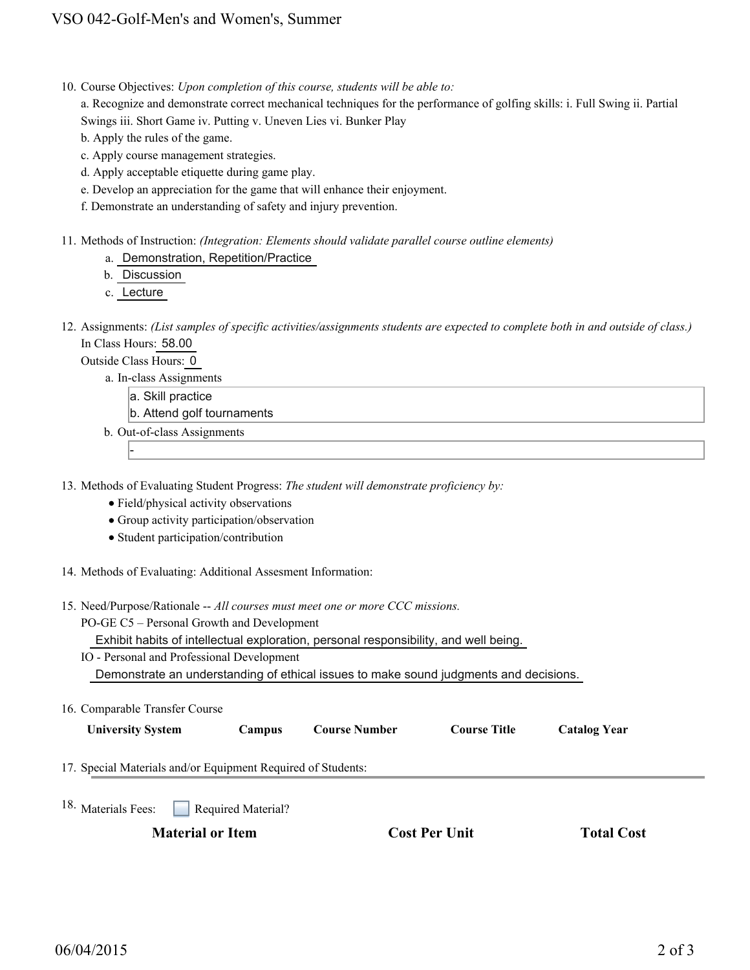10. Course Objectives: Upon completion of this course, students will be able to:

a. Recognize and demonstrate correct mechanical techniques for the performance of golfing skills: i. Full Swing ii. Partial Swings iii. Short Game iv. Putting v. Uneven Lies vi. Bunker Play

b. Apply the rules of the game.

c. Apply course management strategies.

d. Apply acceptable etiquette during game play.

e. Develop an appreciation for the game that will enhance their enjoyment.

f. Demonstrate an understanding of safety and injury prevention.

Methods of Instruction: *(Integration: Elements should validate parallel course outline elements)* 11.

a. Demonstration, Repetition/Practice

b. Discussion

c. Lecture

| 12. Assignments: (List samples of specific activities/assignments students are expected to complete both in and outside of class.) |  |  |  |  |  |
|------------------------------------------------------------------------------------------------------------------------------------|--|--|--|--|--|
| In Class Hours: 58.00                                                                                                              |  |  |  |  |  |

Outside Class Hours: 0

-

a. In-class Assignments

a. Skill practice

b. Attend golf tournaments

b. Out-of-class Assignments

13. Methods of Evaluating Student Progress: The student will demonstrate proficiency by:

- Field/physical activity observations
- Group activity participation/observation
- Student participation/contribution

14. Methods of Evaluating: Additional Assesment Information:

15. Need/Purpose/Rationale -- All courses must meet one or more CCC missions.

PO-GE C5 – Personal Growth and Development

Exhibit habits of intellectual exploration, personal responsibility, and well being.

IO - Personal and Professional Development Demonstrate an understanding of ethical issues to make sound judgments and decisions.

16. Comparable Transfer Course

| <b>University System</b>                                     | Campus             | <b>Course Number</b> | <b>Course Title</b> | <b>Catalog Year</b> |  |
|--------------------------------------------------------------|--------------------|----------------------|---------------------|---------------------|--|
| 17. Special Materials and/or Equipment Required of Students: |                    |                      |                     |                     |  |
| 18. Materials Fees:                                          | Required Material? |                      |                     |                     |  |
| <b>Material or Item</b>                                      |                    |                      | Cost Per Unit       | <b>Total Cost</b>   |  |